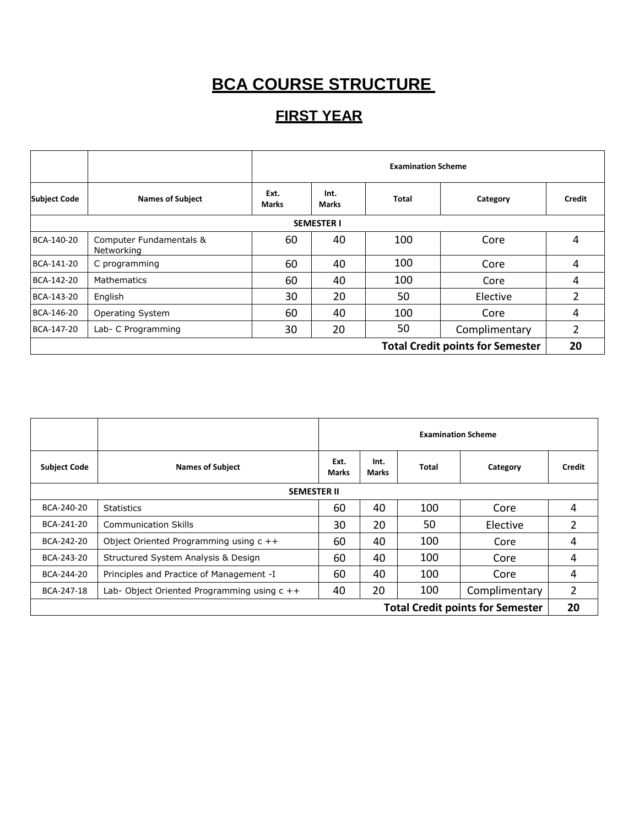# **BCA COURSE STRUCTURE**

### **FIRST YEAR**

|                                         |                                       | <b>Examination Scheme</b> |                      |              |               |        |  |  |  |
|-----------------------------------------|---------------------------------------|---------------------------|----------------------|--------------|---------------|--------|--|--|--|
| <b>Subject Code</b>                     | <b>Names of Subject</b>               | Ext.<br>Marks             | Int.<br><b>Marks</b> | <b>Total</b> | Category      | Credit |  |  |  |
|                                         |                                       |                           | <b>SEMESTER I</b>    |              |               |        |  |  |  |
| BCA-140-20                              | Computer Fundamentals &<br>Networking | 60                        | 40                   | 100          | Core          | 4      |  |  |  |
| BCA-141-20                              | C programming                         | 60                        | 40                   | 100          | Core          | 4      |  |  |  |
| BCA-142-20                              | Mathematics                           | 60                        | 40                   | 100          | Core          | 4      |  |  |  |
| BCA-143-20                              | English                               | 30                        | 20                   | 50           | Elective      | 2      |  |  |  |
| BCA-146-20                              | Operating System                      | 60                        | 40                   | 100          | Core          | 4      |  |  |  |
| BCA-147-20                              | Lab- C Programming                    | 30                        | 20                   | 50           | Complimentary | 2      |  |  |  |
| <b>Total Credit points for Semester</b> |                                       |                           |                      |              |               |        |  |  |  |

|                                         |                                               | <b>Examination Scheme</b> |                      |       |               |        |
|-----------------------------------------|-----------------------------------------------|---------------------------|----------------------|-------|---------------|--------|
| <b>Subject Code</b>                     | <b>Names of Subject</b>                       | Ext.<br><b>Marks</b>      | Int.<br><b>Marks</b> | Total | Category      | Credit |
| <b>SEMESTER II</b>                      |                                               |                           |                      |       |               |        |
| BCA-240-20                              | <b>Statistics</b>                             | 60                        | 40                   | 100   | Core          | 4      |
| BCA-241-20                              | <b>Communication Skills</b>                   | 30                        | 20                   | 50    | Elective      | 2      |
| BCA-242-20                              | Object Oriented Programming using $c + +$     | 60                        | 40                   | 100   | Core          | 4      |
| BCA-243-20                              | Structured System Analysis & Design           | 60                        | 40                   | 100   | Core          | 4      |
| BCA-244-20                              | Principles and Practice of Management -I      | 60                        | 40                   | 100   | Core          | 4      |
| BCA-247-18                              | Lab-Object Oriented Programming using $c + +$ | 40                        | 20                   | 100   | Complimentary | 2      |
| <b>Total Credit points for Semester</b> |                                               |                           |                      |       | 20            |        |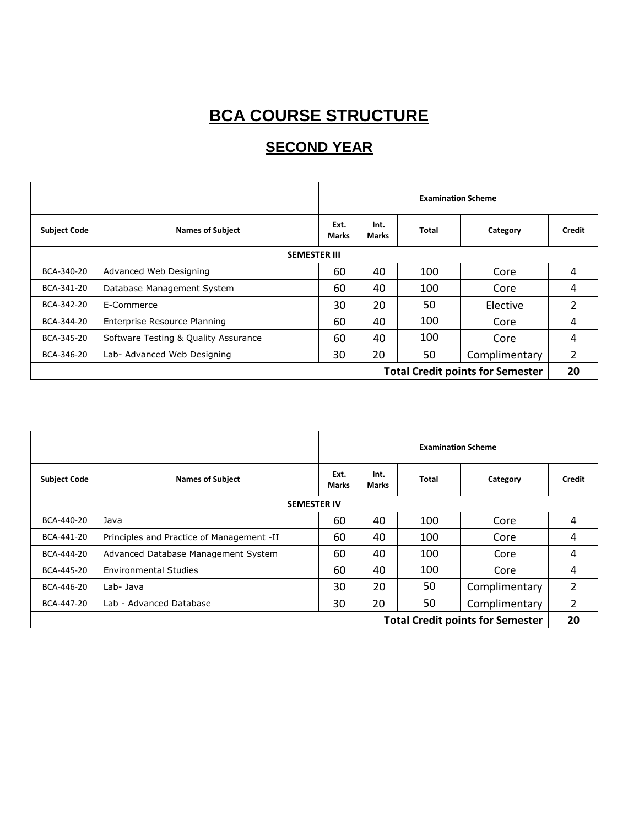# **BCA COURSE STRUCTURE**

### **SECOND YEAR**

|                                         |                                      | <b>Examination Scheme</b> |               |       |               |        |  |
|-----------------------------------------|--------------------------------------|---------------------------|---------------|-------|---------------|--------|--|
| <b>Subject Code</b>                     | <b>Names of Subject</b>              | Ext.<br>Marks             | Int.<br>Marks | Total | Category      | Credit |  |
| <b>SEMESTER III</b>                     |                                      |                           |               |       |               |        |  |
| BCA-340-20                              | Advanced Web Designing               | 60                        | 40            | 100   | Core          | 4      |  |
| BCA-341-20                              | Database Management System           | 60                        | 40            | 100   | Core          | 4      |  |
| BCA-342-20                              | E-Commerce                           | 30                        | 20            | 50    | Elective      | 2      |  |
| BCA-344-20                              | Enterprise Resource Planning         | 60                        | 40            | 100   | Core          | 4      |  |
| BCA-345-20                              | Software Testing & Quality Assurance | 60                        | 40            | 100   | Core          | 4      |  |
| BCA-346-20                              | Lab- Advanced Web Designing          | 30                        | 20            | 50    | Complimentary | 2      |  |
| <b>Total Credit points for Semester</b> |                                      |                           |               |       | 20            |        |  |

|                                         |                                           | <b>Examination Scheme</b> |               |       |               |        |  |
|-----------------------------------------|-------------------------------------------|---------------------------|---------------|-------|---------------|--------|--|
| <b>Subject Code</b>                     | <b>Names of Subject</b>                   | Ext.<br><b>Marks</b>      | Int.<br>Marks | Total | Category      | Credit |  |
| <b>SEMESTER IV</b>                      |                                           |                           |               |       |               |        |  |
| BCA-440-20                              | Java                                      | 60                        | 40            | 100   | Core          | 4      |  |
| BCA-441-20                              | Principles and Practice of Management -II | 60                        | 40            | 100   | Core          | 4      |  |
| BCA-444-20                              | Advanced Database Management System       | 60                        | 40            | 100   | Core          | 4      |  |
| BCA-445-20                              | <b>Environmental Studies</b>              | 60                        | 40            | 100   | Core          | 4      |  |
| BCA-446-20                              | Lab- Java                                 | 30                        | 20            | 50    | Complimentary | 2      |  |
| BCA-447-20                              | Lab - Advanced Database                   | 30                        | 20            | 50    | Complimentary | 2      |  |
| <b>Total Credit points for Semester</b> |                                           |                           |               |       | 20            |        |  |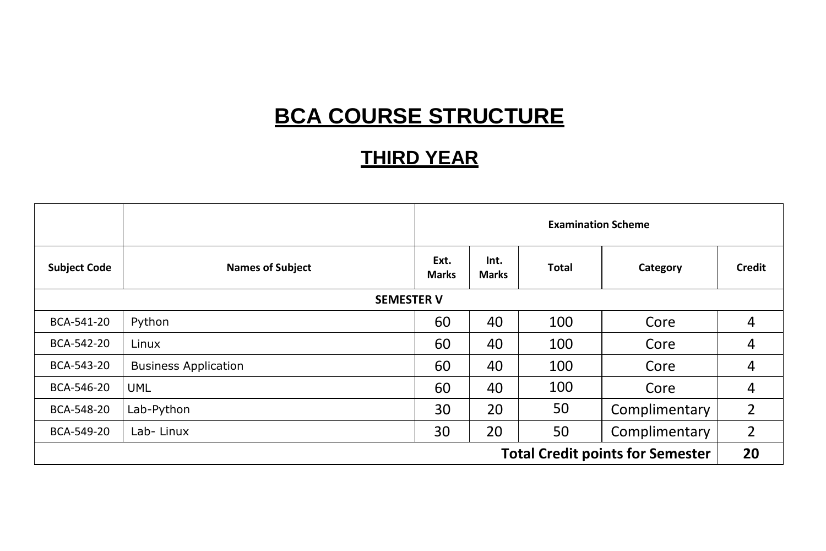## **BCA COURSE STRUCTURE**

### **THIRD YEAR**

|                                         |                             | <b>Examination Scheme</b> |               |       |               |        |
|-----------------------------------------|-----------------------------|---------------------------|---------------|-------|---------------|--------|
| <b>Subject Code</b>                     | <b>Names of Subject</b>     | Ext.<br><b>Marks</b>      | Int.<br>Marks | Total | Category      | Credit |
| <b>SEMESTER V</b>                       |                             |                           |               |       |               |        |
| BCA-541-20                              | Python                      | 60                        | 40            | 100   | Core          | 4      |
| BCA-542-20                              | Linux                       | 60                        | 40            | 100   | Core          | 4      |
| BCA-543-20                              | <b>Business Application</b> | 60                        | 40            | 100   | Core          | 4      |
| BCA-546-20                              | <b>UML</b>                  | 60                        | 40            | 100   | Core          | 4      |
| BCA-548-20                              | Lab-Python                  | 30                        | 20            | 50    | Complimentary | 2      |
| BCA-549-20                              | Lab-Linux                   | 30                        | 20            | 50    | Complimentary | 2      |
| <b>Total Credit points for Semester</b> |                             |                           |               |       | 20            |        |